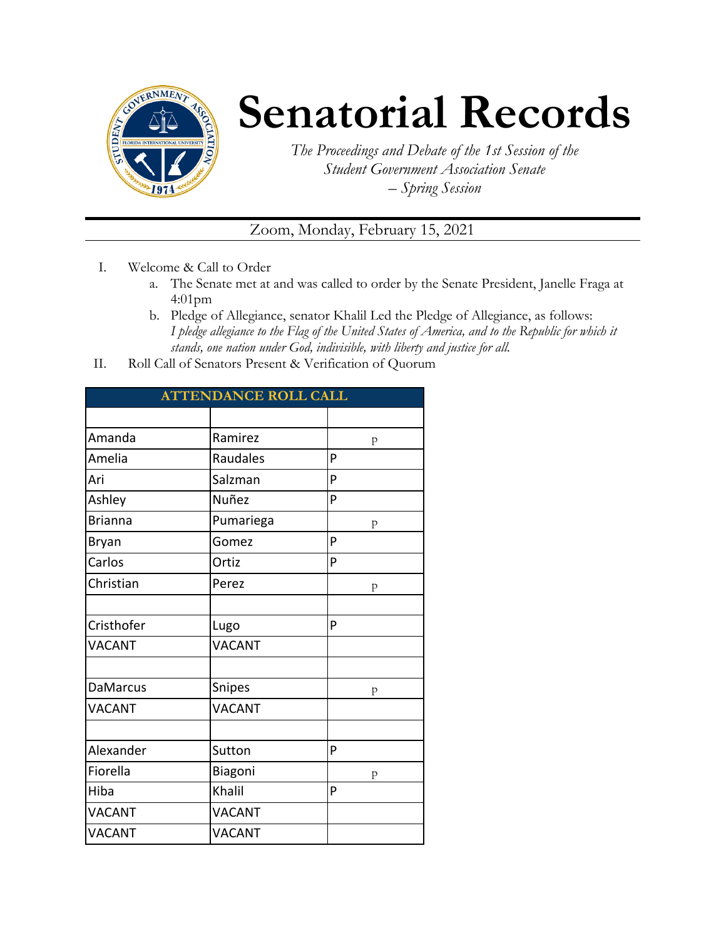

## **Senatorial Records**

*The Proceedings and Debate of the 1st Session of the Student Government Association Senate – Spring Session*

Zoom, Monday, February 15, 2021

- I. Welcome & Call to Order
	- a. The Senate met at and was called to order by the Senate President, Janelle Fraga at 4:01pm
	- b. Pledge of Allegiance, senator Khalil Led the Pledge of Allegiance, as follows: *I pledge allegiance to the Flag of the United States of America, and to the Republic for which it stands, one nation under God, indivisible, with liberty and justice for all.*
- II. Roll Call of Senators Present & Verification of Quorum

| <b>ATTENDANCE ROLL CALL</b> |               |   |  |
|-----------------------------|---------------|---|--|
|                             |               |   |  |
| Amanda                      | Ramirez       | p |  |
| Amelia                      | Raudales      | P |  |
| Ari                         | Salzman       | P |  |
| Ashley                      | Nuñez         | P |  |
| <b>Brianna</b>              | Pumariega     | p |  |
| <b>Bryan</b>                | Gomez         | P |  |
| Carlos                      | Ortiz         | P |  |
| Christian                   | Perez         | p |  |
|                             |               |   |  |
| Cristhofer                  | Lugo          | P |  |
| <b>VACANT</b>               | <b>VACANT</b> |   |  |
|                             |               |   |  |
| <b>DaMarcus</b>             | Snipes        | p |  |
| <b>VACANT</b>               | <b>VACANT</b> |   |  |
|                             |               |   |  |
| Alexander                   | Sutton        | P |  |
| Fiorella                    | Biagoni       | p |  |
| Hiba                        | Khalil        | P |  |
| <b>VACANT</b>               | <b>VACANT</b> |   |  |
| <b>VACANT</b>               | <b>VACANT</b> |   |  |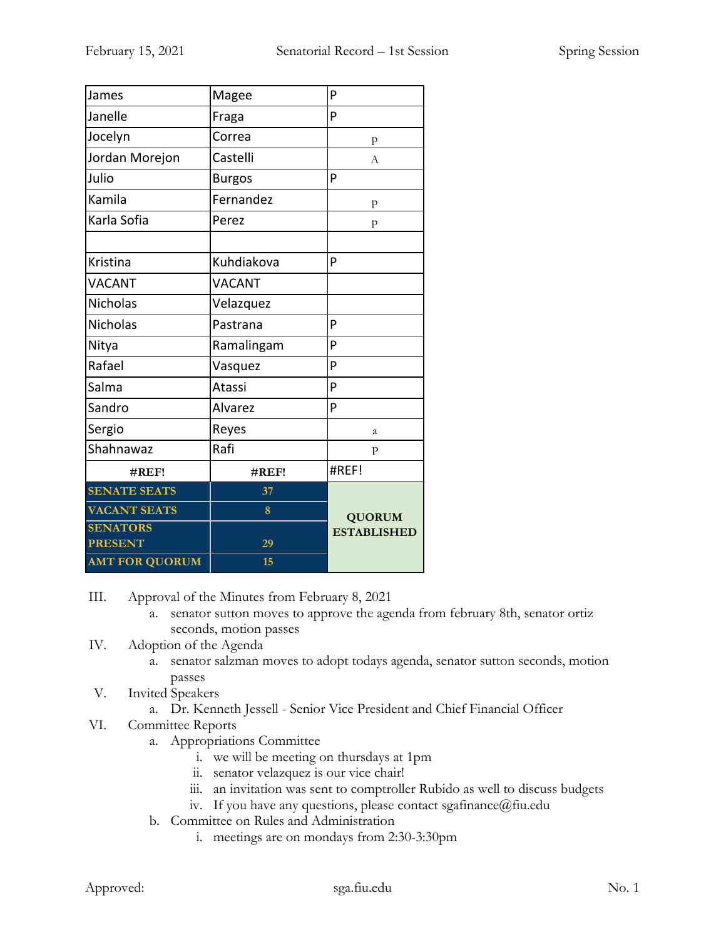| James                 | Magee         | P                  |
|-----------------------|---------------|--------------------|
| Janelle               | Fraga         | P                  |
| Jocelyn               | Correa        | p                  |
| Jordan Morejon        | Castelli      | A                  |
| Julio                 | <b>Burgos</b> | P                  |
| Kamila                | Fernandez     | ${\bf p}$          |
| Karla Sofia           | Perez         | p                  |
|                       |               |                    |
| Kristina              | Kuhdiakova    | P                  |
| <b>VACANT</b>         | <b>VACANT</b> |                    |
| <b>Nicholas</b>       | Velazquez     |                    |
| <b>Nicholas</b>       | Pastrana      | P                  |
| Nitya                 | Ramalingam    | P                  |
| Rafael                | Vasquez       | P                  |
| Salma                 | Atassi        | P                  |
| Sandro                | Alvarez       | P                  |
| Sergio                | Reyes         | a                  |
| Shahnawaz             | Rafi          | $\mathbf{P}$       |
| #REF!                 | $\#REF!$      | #REF!              |
| <b>SENATE SEATS</b>   | 37            |                    |
| <b>VACANT SEATS</b>   | 8             | <b>QUORUM</b>      |
| <b>SENATORS</b>       |               | <b>ESTABLISHED</b> |
| <b>PRESENT</b>        | 29            |                    |
| <b>AMT FOR QUORUM</b> | 15            |                    |

III. Approval of the Minutes from February 8, 2021

- a. senator sutton moves to approve the agenda from february 8th, senator ortiz seconds, motion passes
- IV. Adoption of the Agenda
	- a. senator salzman moves to adopt todays agenda, senator sutton seconds, motion passes
- V. Invited Speakers
	- a. Dr. Kenneth Jessell Senior Vice President and Chief Financial Officer
- VI. Committee Reports
	- a. Appropriations Committee
		- i. we will be meeting on thursdays at 1pm
		- ii. senator velazquez is our vice chair!
		- iii. an invitation was sent to comptroller Rubido as well to discuss budgets
		- iv. If you have any questions, please contact sgafinance@fiu.edu
	- b. Committee on Rules and Administration
		- i. meetings are on mondays from 2:30-3:30pm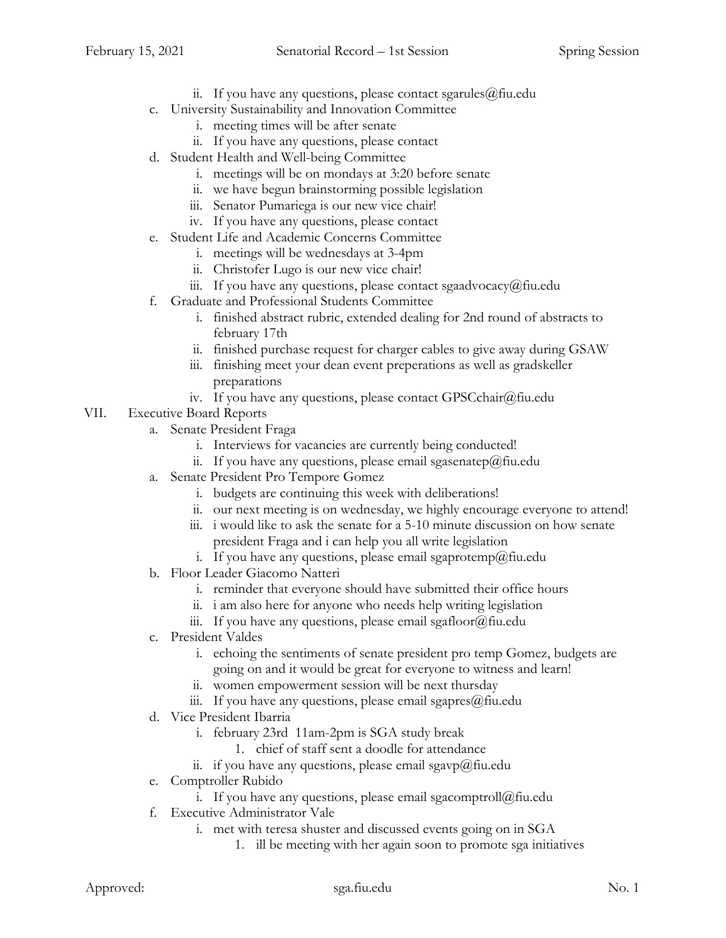- ii. If you have any questions, please contact sgarules  $@$  fiu.edu
- c. University Sustainability and Innovation Committee
	- i. meeting times will be after senate
	- ii. If you have any questions, please contact
- d. Student Health and Well-being Committee
	- i. meetings will be on mondays at 3:20 before senate
	- ii. we have begun brainstorming possible legislation
	- iii. Senator Pumariega is our new vice chair!
	- iv. If you have any questions, please contact
- e. Student Life and Academic Concerns Committee
	- i. meetings will be wednesdays at 3-4pm
	- ii. Christofer Lugo is our new vice chair!
	- iii. If you have any questions, please contact sgaadvocacy@fiu.edu
- f. Graduate and Professional Students Committee
	- i. finished abstract rubric, extended dealing for 2nd round of abstracts to february 17th
	- ii. finished purchase request for charger cables to give away during GSAW
	- iii. finishing meet your dean event preperations as well as gradskeller preparations
	- iv. If you have any questions, please contact GPSCchair@fiu.edu
- VII. Executive Board Reports
	- a. Senate President Fraga
		- i. Interviews for vacancies are currently being conducted!
		- ii. If you have any questions, please email sgasenatep@fiu.edu
	- a. Senate President Pro Tempore Gomez
		- i. budgets are continuing this week with deliberations!
		- ii. our next meeting is on wednesday, we highly encourage everyone to attend!
		- iii. i would like to ask the senate for a 5-10 minute discussion on how senate president Fraga and i can help you all write legislation
		- i. If you have any questions, please email sgaprotemp@fiu.edu
	- b. Floor Leader Giacomo Natteri
		- i. reminder that everyone should have submitted their office hours
		- ii. i am also here for anyone who needs help writing legislation
		- iii. If you have any questions, please email sgafloor $@$ fiu.edu
	- c. President Valdes
		- i. echoing the sentiments of senate president pro temp Gomez, budgets are going on and it would be great for everyone to witness and learn!
		- ii. women empowerment session will be next thursday
		- iii. If you have any questions, please email sgapres $@$ fiu.edu
	- d. Vice President Ibarria
		- i. february 23rd 11am-2pm is SGA study break
			- 1. chief of staff sent a doodle for attendance
		- ii. if you have any questions, please email sgavp $@$ fiu.edu
	- e. Comptroller Rubido
		- i. If you have any questions, please email sgacomptroll@fiu.edu
	- f. Executive Administrator Vale
		- i. met with teresa shuster and discussed events going on in SGA
			- 1. ill be meeting with her again soon to promote sga initiatives